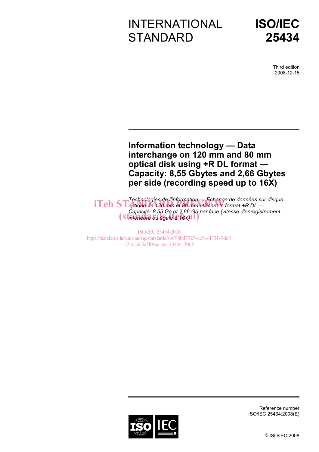# INTERNATIONAL **STANDARD**



Third edition 2008-12-15

# **Information technology — Data interchange on 120 mm and 80 mm optical disk using +R DL format — Capacity: 8,55 Gbytes and 2,66 Gbytes per side (recording speed up to 16X)**

*Technologies de l'information — Échange de données sur disque*  **iTeh ST** *optique de 120 mm et 80 mm utilisant le format +R DL — Capacité: 8,55 Go et 2,66 Go par face (vitesse d'enregistrement Capacite: 8,55 Go et 2,66 Go p*<br> **(Standard bullegale a:16X)** 

ISO/IEC 25434:2008 https://standards.iteh.ai/catalog/standards/sist/98bd7927-ec9a-4331-9dcfa25dada5af40/iso-iec-25434-2008



Reference number ISO/IEC 25434:2008(E)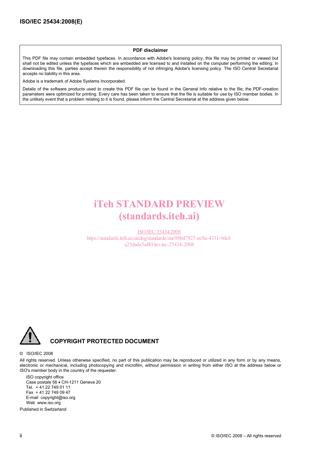#### **PDF disclaimer**

This PDF file may contain embedded typefaces. In accordance with Adobe's licensing policy, this file may be printed or viewed but shall not be edited unless the typefaces which are embedded are licensed to and installed on the computer performing the editing. In downloading this file, parties accept therein the responsibility of not infringing Adobe's licensing policy. The ISO Central Secretariat accepts no liability in this area.

Adobe is a trademark of Adobe Systems Incorporated.

Details of the software products used to create this PDF file can be found in the General Info relative to the file; the PDF-creation parameters were optimized for printing. Every care has been taken to ensure that the file is suitable for use by ISO member bodies. In the unlikely event that a problem relating to it is found, please inform the Central Secretariat at the address given below.

# iTeh STANDARD PREVIEW (standards.iteh.ai)

ISO/IEC 25434:2008 https://standards.iteh.ai/catalog/standards/sist/98bd7927-ec9a-4331-9dcfa25dada5af40/iso-iec-25434-2008



#### © ISO/IEC 2008

All rights reserved. Unless otherwise specified, no part of this publication may be reproduced or utilized in any form or by any means, electronic or mechanical, including photocopying and microfilm, without permission in writing from either ISO at the address below or ISO's member body in the country of the requester.

ISO copyright office Case postale 56 • CH-1211 Geneva 20 Tel. + 41 22 749 01 11 Fax + 41 22 749 09 47 E-mail copyright@iso.org Web www.iso.org

Published in Switzerland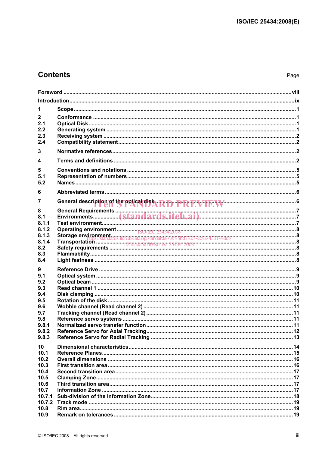# **Contents**

| 1                  |  |  |  |
|--------------------|--|--|--|
|                    |  |  |  |
| $\mathbf 2$<br>2.1 |  |  |  |
| 2.2                |  |  |  |
| 2.3                |  |  |  |
| 2.4                |  |  |  |
|                    |  |  |  |
| 3                  |  |  |  |
| 4                  |  |  |  |
| 5                  |  |  |  |
| 5.1                |  |  |  |
| 5.2                |  |  |  |
|                    |  |  |  |
| 6                  |  |  |  |
| $\overline{7}$     |  |  |  |
|                    |  |  |  |
| 8                  |  |  |  |
| 8.1                |  |  |  |
| 8.1.1              |  |  |  |
| 8.1.2              |  |  |  |
| 8.1.3<br>8.1.4     |  |  |  |
| 8.2                |  |  |  |
| 8.3                |  |  |  |
| 8.4                |  |  |  |
|                    |  |  |  |
| 9                  |  |  |  |
| 9.1                |  |  |  |
| 9.2                |  |  |  |
| 9.3                |  |  |  |
| 9.4                |  |  |  |
| 9.5                |  |  |  |
| 9.6<br>9.7         |  |  |  |
| 9.8                |  |  |  |
| 9.8.1              |  |  |  |
| 9.8.2              |  |  |  |
| 9.8.3              |  |  |  |
|                    |  |  |  |
| 10                 |  |  |  |
| 10.1               |  |  |  |
| 10.2               |  |  |  |
| 10.3               |  |  |  |
| 10.4               |  |  |  |
| 10.5<br>10.6       |  |  |  |
| 10.7               |  |  |  |
| 10.7.1             |  |  |  |
| 10.7.2             |  |  |  |
| 10.8               |  |  |  |
| 10.9               |  |  |  |
|                    |  |  |  |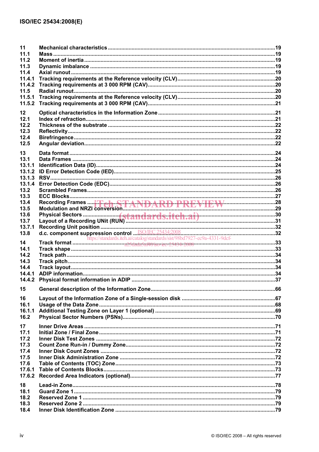| 11<br>11.1<br>11.2<br>11.3<br>11.4<br>11.4.1<br>11.4.2<br>11.5<br>11.5.1<br>11.5.2                           |                                                                           |  |
|--------------------------------------------------------------------------------------------------------------|---------------------------------------------------------------------------|--|
| 12<br>12.1<br>12.2<br>12.3<br>12.4<br>12.5                                                                   |                                                                           |  |
| 13<br>13.1<br>13.1.1<br>13.1.2<br>13.1.3<br>13.1.4<br>13.2<br>13.3<br>13.4<br>13.5<br>13.6<br>13.7<br>13.7.1 |                                                                           |  |
| 13.8<br>14<br>14.1<br>14.2<br>14.3<br>14.4<br>14.4.1<br>14.4.2<br>15                                         | https://standards.iteh.ai/catalog/standards/sist/98bd7927-ec9a-4331-9dcf- |  |
| 16<br>16.1<br>16.1.1<br>16.2                                                                                 |                                                                           |  |
| 17<br>17.1<br>17.2<br>17.3<br>17.4<br>17.5<br>17.6<br>17.6.1<br>17.6.2                                       |                                                                           |  |
| 18<br>18.1<br>18.2<br>18.3<br>18.4                                                                           |                                                                           |  |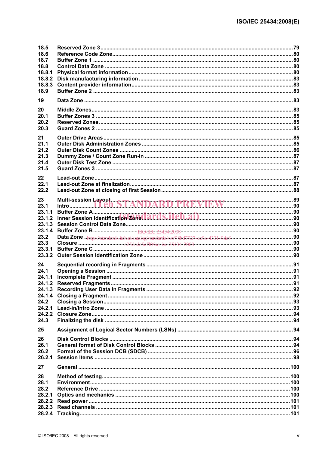| 18.5<br>18.6<br>18.7<br>18.8<br>18.8.1<br>18.8.2<br>18.8.3<br>18.9 |  |
|--------------------------------------------------------------------|--|
| 19                                                                 |  |
| 20<br>20.1<br>20.2<br>20.3                                         |  |
| 21<br>21.1<br>21.2<br>21.3<br>21.4<br>21.5                         |  |
| 22<br>22.1<br>22.2                                                 |  |
| 23<br>23.1<br>23.1.1<br>23.1.2<br>23.1.3<br>23.1.4                 |  |
| 23.2<br>23.3<br>23.3.1<br>23.3.2                                   |  |
| 24<br>24.1<br>24.1.1<br>24.1.4<br>24.2<br>24.2.1<br>24.2.2<br>24.3 |  |
| 25                                                                 |  |
| 26<br>26.1<br>26.2<br>26.2.1                                       |  |
| 27                                                                 |  |
| 28<br>28.1<br>28.2<br>28.2.1<br>28.2.2                             |  |
|                                                                    |  |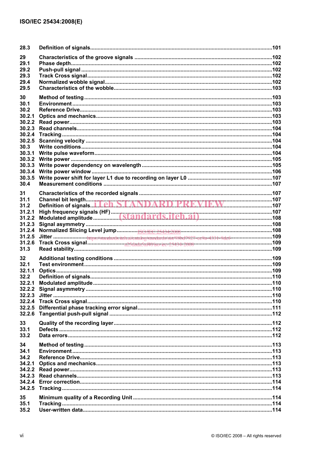| 28.3            |  |
|-----------------|--|
| 29              |  |
| 29.1            |  |
| 29.2            |  |
| 29.3            |  |
| 29.4            |  |
| 29.5            |  |
|                 |  |
| 30              |  |
| 30.1            |  |
| 30.2            |  |
| 30.2.1          |  |
| 30.2.2          |  |
| 30.2.3          |  |
| 30.2.4          |  |
| 30.2.5          |  |
| 30.3            |  |
| 30.3.1          |  |
| 30.3.2          |  |
| 30.3.3          |  |
| 30.3.4          |  |
| 30.3.5          |  |
| 30.4            |  |
|                 |  |
| 31              |  |
| 31.1            |  |
| 31.2            |  |
| 31.2.1          |  |
| 31.2.2          |  |
| 31.2.3          |  |
| 31.2.4          |  |
| 31.2.5          |  |
| 31.2.6          |  |
| 31.3            |  |
| $32\phantom{a}$ |  |
| 32.1            |  |
| 32.1.1          |  |
| 32.2            |  |
| 32.2.1          |  |
|                 |  |
| 32.2.3          |  |
|                 |  |
| 32.2.5          |  |
| 32.2.6          |  |
|                 |  |
| 33              |  |
| 33.1            |  |
| 33.2            |  |
| 34              |  |
| 34.1            |  |
| 34.2            |  |
| 34.2.1          |  |
| 34.2.2          |  |
| 34.2.3          |  |
| 34.2.4          |  |
| 34.2.5          |  |
|                 |  |
| 35              |  |
| 35.1            |  |
| 35.2            |  |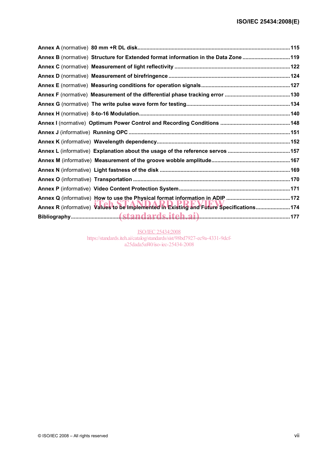| Annex B (normative) Structure for Extended format information in the Data Zone 119      |  |
|-----------------------------------------------------------------------------------------|--|
|                                                                                         |  |
|                                                                                         |  |
|                                                                                         |  |
|                                                                                         |  |
|                                                                                         |  |
|                                                                                         |  |
|                                                                                         |  |
|                                                                                         |  |
|                                                                                         |  |
|                                                                                         |  |
|                                                                                         |  |
|                                                                                         |  |
|                                                                                         |  |
|                                                                                         |  |
|                                                                                         |  |
| Annex R (informative) Values to be Implemented in Existing and Future Specifications174 |  |
|                                                                                         |  |

ISO/IEC 25434:2008 https://standards.iteh.ai/catalog/standards/sist/98bd7927-ec9a-4331-9dcfa25dada5af40/iso-iec-25434-2008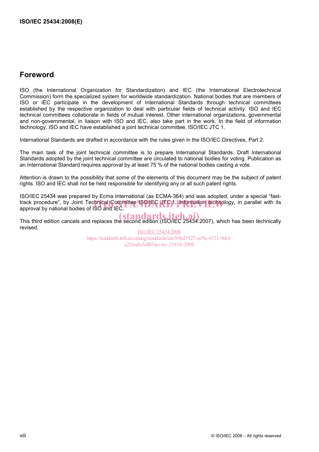# **Foreword**

ISO (the International Organization for Standardization) and IEC (the International Electrotechnical Commission) form the specialized system for worldwide standardization. National bodies that are members of ISO or IEC participate in the development of International Standards through technical committees established by the respective organization to deal with particular fields of technical activity. ISO and IEC technical committees collaborate in fields of mutual interest. Other international organizations, governmental and non-governmental, in liaison with ISO and IEC, also take part in the work. In the field of information technology, ISO and IEC have established a joint technical committee, ISO/IEC JTC 1.

International Standards are drafted in accordance with the rules given in the ISO/IEC Directives, Part 2.

The main task of the joint technical committee is to prepare International Standards. Draft International Standards adopted by the joint technical committee are circulated to national bodies for voting. Publication as an International Standard requires approval by at least 75 % of the national bodies casting a vote.

Attention is drawn to the possibility that some of the elements of this document may be the subject of patent rights. ISO and IEC shall not be held responsible for identifying any or all such patent rights.

ISO/IEC 25434 was prepared by Ecma International (as ECMA-364) and was adopted, under a special "fasttrack procedure", by Joint Tec<mark>hnical Committee ISO/IEC LTC 1, *Information technology*, in parallel with its <br>approval by national bodies of ISO and IEC.</mark> approval by national bodies of ISO and IEC.

This third edition cancels and replaces the second edition (ISO/IEC 25434:2007), which has been technically revised.

ISO/IEC 25434:2008 https://standards.iteh.ai/catalog/standards/sist/98bd7927-ec9a-4331-9dcfa25dada5af40/iso-iec-25434-2008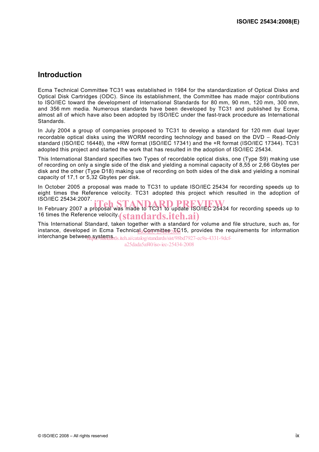# **Introduction**

Ecma Technical Committee TC31 was established in 1984 for the standardization of Optical Disks and Optical Disk Cartridges (ODC). Since its establishment, the Committee has made major contributions to ISO/IEC toward the development of International Standards for 80 mm, 90 mm, 120 mm, 300 mm, and 356 mm media. Numerous standards have been developed by TC31 and published by Ecma, almost all of which have also been adopted by ISO/IEC under the fast-track procedure as International Standards.

In July 2004 a group of companies proposed to TC31 to develop a standard for 120 mm dual layer recordable optical disks using the WORM recording technology and based on the DVD − Read-Only standard (ISO/IEC 16448), the +RW format (ISO/IEC 17341) and the +R format (ISO/IEC 17344). TC31 adopted this project and started the work that has resulted in the adoption of ISO/IEC 25434.

This International Standard specifies two Types of recordable optical disks, one (Type S9) making use of recording on only a single side of the disk and yielding a nominal capacity of 8,55 or 2,66 Gbytes per disk and the other (Type D18) making use of recording on both sides of the disk and yielding a nominal capacity of 17,1 or 5,32 Gbytes per disk.

In October 2005 a proposal was made to TC31 to update ISO/IEC 25434 for recording speeds up to eight times the Reference velocity. TC31 adopted this project which resulted in the adoption of ISO/IEC 25434:2007.

ISO/IEC 25434.2007.<br>In February 2007 a proposal was made to TC31 to update ISO/IEC 25434 for recording speeds up to 16 times the Reference velocity (standards.iteh.ai)

This International Standard, taken together with a standard for volume and file structure, such as, for instance, developed in Ecma Technicas Committee TC15, provides the requirements for information interchange between systems ds. iteh.ai/catalog/standards/sist/98bd7927-ec9a-4331-9dcf-

a25dada5af40/iso-iec-25434-2008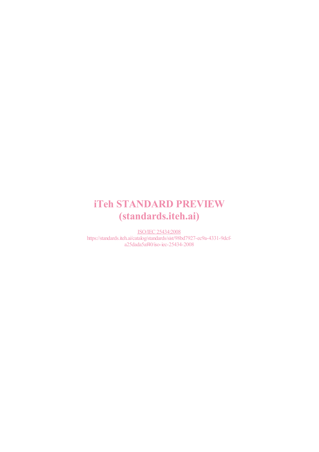# iTeh STANDARD PREVIEW (standards.iteh.ai)

ISO/IEC 25434:2008 https://standards.iteh.ai/catalog/standards/sist/98bd7927-ec9a-4331-9dcfa25dada5af40/iso-iec-25434-2008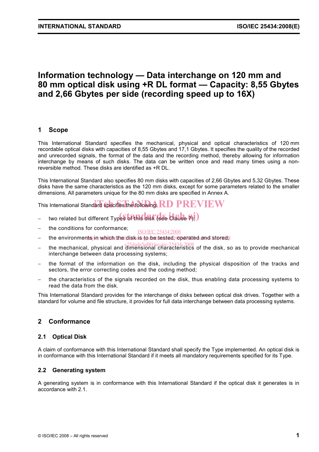# **Information technology — Data interchange on 120 mm and 80 mm optical disk using +R DL format — Capacity: 8,55 Gbytes and 2,66 Gbytes per side (recording speed up to 16X)**

# **1 Scope**

This International Standard specifies the mechanical, physical and optical characteristics of 120 mm recordable optical disks with capacities of 8,55 Gbytes and 17,1 Gbytes. It specifies the quality of the recorded and unrecorded signals, the format of the data and the recording method, thereby allowing for information interchange by means of such disks. The data can be written once and read many times using a nonreversible method. These disks are identified as +R DL.

This International Standard also specifies 80 mm disks with capacities of 2,66 Gbytes and 5,32 Gbytes. These disks have the same characteristics as the 120 mm disks, except for some parameters related to the smaller dimensions. All parameters unique for the 80 mm disks are specified in Annex A.

This International Standard specifies the following:  $R$ D PREVIEW

- two related but different Types of this disk (see Clause 7);)
- the conditions for conformance; ISO/IEC 25434:2008
- − the environmentspin/whichdtheldisk is to be tested, operated and stored;-
- − the mechanical, physical and dimensional characteristics of the disk, so as to provide mechanical interchange between data processing systems;
- the format of the information on the disk, including the physical disposition of the tracks and sectors, the error correcting codes and the coding method;
- the characteristics of the signals recorded on the disk, thus enabling data processing systems to read the data from the disk.

This International Standard provides for the interchange of disks between optical disk drives. Together with a standard for volume and file structure, it provides for full data interchange between data processing systems.

# **2 Conformance**

# **2.1 Optical Disk**

A claim of conformance with this International Standard shall specify the Type implemented. An optical disk is in conformance with this International Standard if it meets all mandatory requirements specified for its Type.

# **2.2 Generating system**

A generating system is in conformance with this International Standard if the optical disk it generates is in accordance with 2.1.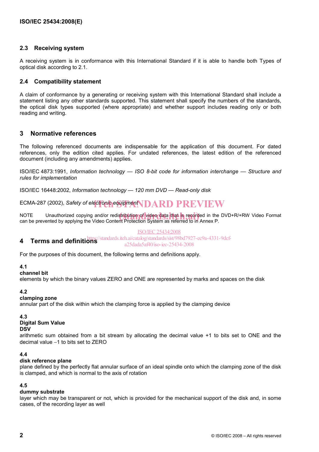# **2.3 Receiving system**

A receiving system is in conformance with this International Standard if it is able to handle both Types of optical disk according to 2.1.

# **2.4 Compatibility statement**

A claim of conformance by a generating or receiving system with this International Standard shall include a statement listing any other standards supported. This statement shall specify the numbers of the standards, the optical disk types supported (where appropriate) and whether support includes reading only or both reading and writing.

# **3 Normative references**

The following referenced documents are indispensable for the application of this document. For dated references, only the edition cited applies. For undated references, the latest edition of the referenced document (including any amendments) applies.

ISO/IEC 4873:1991, *Information technology — ISO 8-bit code for information interchange — Structure and rules for implementation* 

ISO/IEC 16448:2002, *Information technology — 120 mm DVD — Read-only disk*

ECMA-287 (2002), *Safety of electronic equipment* **IDARD PREVIEW** 

NOTE Unauthorized copying and/or redistribution of video data that is recorded in the DVD+R/+RW Video Format No<br>can be prevented by applying the Video Content Protection System as referred to in Annex P can be prevented by applying the Video Content Protection System as referred to in Annex P.

#### ISO/IEC 25434:2008

**4 Terms and definitions**  /standards.iteh.ai/catalog/standards/sist/98bd7927-ec9a-4331-9dcfa25dada5af40/iso-iec-25434-2008

For the purposes of this document, the following terms and definitions apply.

#### **4.1**

**channel bit** 

elements by which the binary values ZERO and ONE are represented by marks and spaces on the disk

#### **4.2**

#### **clamping zone**

annular part of the disk within which the clamping force is applied by the clamping device

# **4.3**

# **Digital Sum Value**

**DSV** 

arithmetic sum obtained from a bit stream by allocating the decimal value +1 to bits set to ONE and the decimal value −1 to bits set to ZERO

# **4.4**

# **disk reference plane**

plane defined by the perfectly flat annular surface of an ideal spindle onto which the clamping zone of the disk is clamped, and which is normal to the axis of rotation

# **4.5**

# **dummy substrate**

layer which may be transparent or not, which is provided for the mechanical support of the disk and, in some cases, of the recording layer as well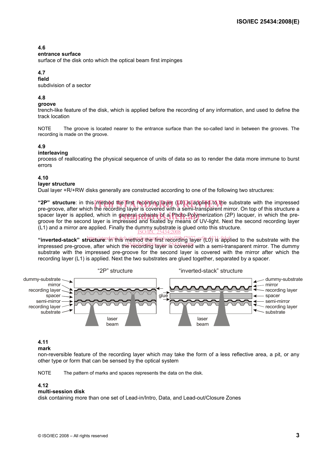# **4.6**

#### **entrance surface**

surface of the disk onto which the optical beam first impinges

# **4.7**

**field** 

subdivision of a sector

# **4.8**

#### **groove**

trench-like feature of the disk, which is applied before the recording of any information, and used to define the track location

NOTE The groove is located nearer to the entrance surface than the so-called land in between the grooves. The recording is made on the groove.

# **4.9**

### **interleaving**

process of reallocating the physical sequence of units of data so as to render the data more immune to burst errors

### **4.10**

#### **layer structure**

Dual layer +R/+RW disks generally are constructed according to one of the following two structures:

**"2P" structure**: in this method the first recording layer (L0) is applied to the substrate with the impressed<br>pre-groove after which the recording layer is covered with a semi-transparent mirror. On top of this structure pre-groove, after which the recording layer is covered with a semi-transparent mirror. On top of this structure a spacer layer is applied, which in general consists of a Photo-Polymerization (2P) lacquer, in which the pre-<br>The second layer is impressed and fixated by means of UV-light. Next the second recording layer groove for the second layer is impressed and fixated by means of UV-light. Next the second recording layer (L1) and a mirror are applied. Finally the dummy substrate is glued onto this structure.<br> $\frac{\text{ISO/IEC 25434:2008}}{25.6334:2008}$ 

"inverted-stack" structure: in this method the rist recording layer<sup>9</sup>t-0<sup>3</sup>13-9dpflied to the substrate with the impressed pre-groove, after which the recording layer is covered with a semi-transparent mirror. The dummy substrate with the impressed pre-groove for the second layer is covered with the mirror after which the recording layer (L1) is applied. Next the two substrates are glued together, separated by a spacer.



# **4.11**

#### **mark**

non-reversible feature of the recording layer which may take the form of a less reflective area, a pit, or any other type or form that can be sensed by the optical system

NOTE The pattern of marks and spaces represents the data on the disk.

#### **4.12**

#### **multi-session disk**

disk containing more than one set of Lead-in/Intro, Data, and Lead-out/Closure Zones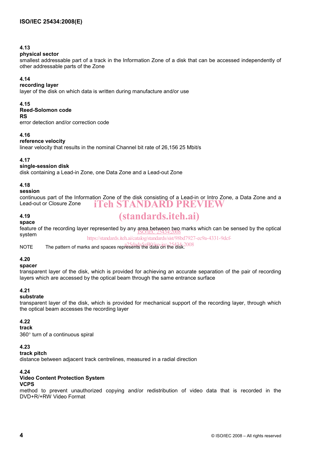# **4.13**

### **physical sector**

smallest addressable part of a track in the Information Zone of a disk that can be accessed independently of other addressable parts of the Zone

# **4.14**

# **recording layer**

layer of the disk on which data is written during manufacture and/or use

### **4.15**

### **Reed-Solomon code**

#### **RS**

error detection and/or correction code

# **4.16**

# **reference velocity**

linear velocity that results in the nominal Channel bit rate of 26,156 25 Mbit/s

# **4.17**

# **single-session disk**

disk containing a Lead-in Zone, one Data Zone and a Lead-out Zone

# **4.18**

# **session**

continuous part of the Information Zone of the disk consisting of a Lead-in or Intro Zone, a Data Zone and a Lead-out or Closure Zone iTeh STANDARD PREVIEW

# **4.19**

# (standards.iteh.ai)

**space**  feature of the recording layer represented by any area between two marks which can be sensed by the optical<br>system system

https://standards.iteh.ai/catalog/standards/sist/98bd7927-ec9a-4331-9dcf-

NOTE The pattern of marks and spaces represents the data on the disk. 2008

# **4.20**

# **spacer**

transparent layer of the disk, which is provided for achieving an accurate separation of the pair of recording layers which are accessed by the optical beam through the same entrance surface

# **4.21**

# **substrate**

transparent layer of the disk, which is provided for mechanical support of the recording layer, through which the optical beam accesses the recording layer

# **4.22**

#### **track**

360° turn of a continuous spiral

# **4.23**

# **track pitch**

distance between adjacent track centrelines, measured in a radial direction

# **4.24**

# **Video Content Protection System**

# **VCPS**

method to prevent unauthorized copying and/or redistribution of video data that is recorded in the DVD+R/+RW Video Format